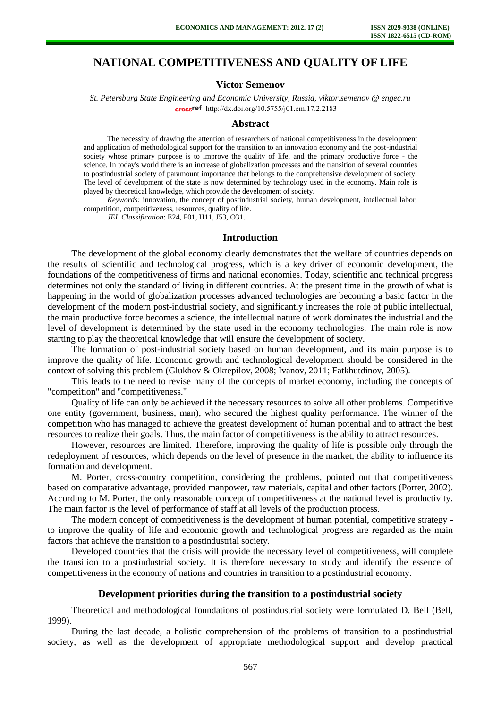# **NATIONAL COMPETITIVENESS AND QUALITY OF LIFE**

## **Victor Semenov**

*St. Petersburg State Engineering and Economic University, Russia, viktor.semenov @ engec.ru*  cross<sup>ref</sup> [http://dx.doi.org/10.5755/j01.e](http://dx.doi.org/10.5755/j01.em.17.2.2183)m.17.2.2183

#### **Abstract**

The necessity of drawing the attention of researchers of national competitiveness in the development and application of methodological support for the transition to an innovation economy and the post-industrial society whose primary purpose is to improve the quality of life, and the primary productive force - the science. In today's world there is an increase of globalization processes and the transition of several countries to postindustrial society of paramount importance that belongs to the comprehensive development of society. The level of development of the state is now determined by technology used in the economy. Main role is played by theoretical knowledge, which provide the development of society.

*Keywords:* innovation, the concept of postindustrial society, human development, intellectual labor, competition, competitiveness, resources, quality of life.

*JEL Classification*: E24, F01, H11, J53, O31.

#### **Introduction**

The development of the global economy clearly demonstrates that the welfare of countries depends on the results of scientific and technological progress, which is a key driver of economic development, the foundations of the competitiveness of firms and national economies. Today, scientific and technical progress determines not only the standard of living in different countries. At the present time in the growth of what is happening in the world of globalization processes advanced technologies are becoming a basic factor in the development of the modern post-industrial society, and significantly increases the role of public intellectual, the main productive force becomes a science, the intellectual nature of work dominates the industrial and the level of development is determined by the state used in the economy technologies. The main role is now starting to play the theoretical knowledge that will ensure the development of society.

The formation of post-industrial society based on human development, and its main purpose is to improve the quality of life. Economic growth and technological development should be considered in the context of solving this problem (Glukhov & Okrepilov, 2008; Ivanov, 2011; Fatkhutdinov, 2005).

This leads to the need to revise many of the concepts of market economy, including the concepts of "competition" and "competitiveness."

Quality of life can only be achieved if the necessary resources to solve all other problems. Competitive one entity (government, business, man), who secured the highest quality performance. The winner of the competition who has managed to achieve the greatest development of human potential and to attract the best resources to realize their goals. Thus, the main factor of competitiveness is the ability to attract resources.

However, resources are limited. Therefore, improving the quality of life is possible only through the redeployment of resources, which depends on the level of presence in the market, the ability to influence its formation and development.

M. Porter, cross-country competition, considering the problems, pointed out that competitiveness based on comparative advantage, provided manpower, raw materials, capital and other factors (Porter, 2002). According to M. Porter, the only reasonable concept of competitiveness at the national level is productivity. The main factor is the level of performance of staff at all levels of the production process.

The modern concept of competitiveness is the development of human potential, competitive strategy to improve the quality of life and economic growth and technological progress are regarded as the main factors that achieve the transition to a postindustrial society.

Developed countries that the crisis will provide the necessary level of competitiveness, will complete the transition to a postindustrial society. It is therefore necessary to study and identify the essence of competitiveness in the economy of nations and countries in transition to a postindustrial economy.

## **Development priorities during the transition to a postindustrial society**

Theoretical and methodological foundations of postindustrial society were formulated D. Bell (Bell, 1999).

During the last decade, a holistic comprehension of the problems of transition to a postindustrial society, as well as the development of appropriate methodological support and develop practical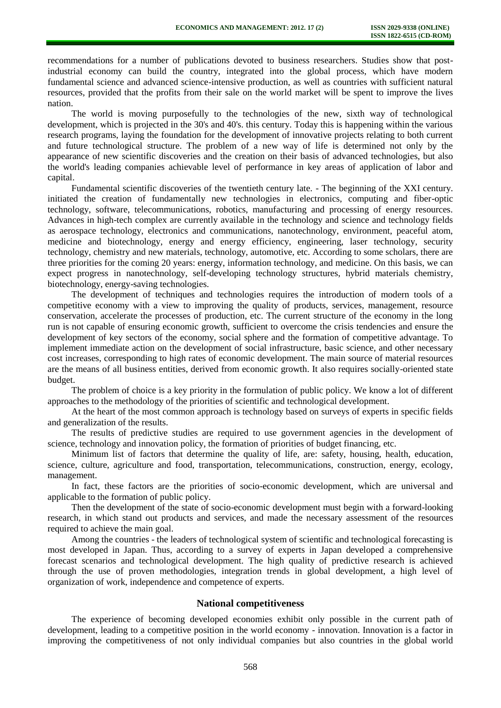recommendations for a number of publications devoted to business researchers. Studies show that postindustrial economy can build the country, integrated into the global process, which have modern fundamental science and advanced science-intensive production, as well as countries with sufficient natural resources, provided that the profits from their sale on the world market will be spent to improve the lives nation.

The world is moving purposefully to the technologies of the new, sixth way of technological development, which is projected in the 30's and 40's. this century. Today this is happening within the various research programs, laying the foundation for the development of innovative projects relating to both current and future technological structure. The problem of a new way of life is determined not only by the appearance of new scientific discoveries and the creation on their basis of advanced technologies, but also the world's leading companies achievable level of performance in key areas of application of labor and capital.

Fundamental scientific discoveries of the twentieth century late. - The beginning of the XXI century. initiated the creation of fundamentally new technologies in electronics, computing and fiber-optic technology, software, telecommunications, robotics, manufacturing and processing of energy resources. Advances in high-tech complex are currently available in the technology and science and technology fields as aerospace technology, electronics and communications, nanotechnology, environment, peaceful atom, medicine and biotechnology, energy and energy efficiency, engineering, laser technology, security technology, chemistry and new materials, technology, automotive, etc. According to some scholars, there are three priorities for the coming 20 years: energy, information technology, and medicine. On this basis, we can expect progress in nanotechnology, self-developing technology structures, hybrid materials chemistry, biotechnology, energy-saving technologies.

The development of techniques and technologies requires the introduction of modern tools of a competitive economy with a view to improving the quality of products, services, management, resource conservation, accelerate the processes of production, etc. The current structure of the economy in the long run is not capable of ensuring economic growth, sufficient to overcome the crisis tendencies and ensure the development of key sectors of the economy, social sphere and the formation of competitive advantage. To implement immediate action on the development of social infrastructure, basic science, and other necessary cost increases, corresponding to high rates of economic development. The main source of material resources are the means of all business entities, derived from economic growth. It also requires socially-oriented state budget.

The problem of choice is a key priority in the formulation of public policy. We know a lot of different approaches to the methodology of the priorities of scientific and technological development.

At the heart of the most common approach is technology based on surveys of experts in specific fields and generalization of the results.

The results of predictive studies are required to use government agencies in the development of science, technology and innovation policy, the formation of priorities of budget financing, etc.

Minimum list of factors that determine the quality of life, are: safety, housing, health, education, science, culture, agriculture and food, transportation, telecommunications, construction, energy, ecology, management.

In fact, these factors are the priorities of socio-economic development, which are universal and applicable to the formation of public policy.

Then the development of the state of socio-economic development must begin with a forward-looking research, in which stand out products and services, and made the necessary assessment of the resources required to achieve the main goal.

Among the countries - the leaders of technological system of scientific and technological forecasting is most developed in Japan. Thus, according to a survey of experts in Japan developed a comprehensive forecast scenarios and technological development. The high quality of predictive research is achieved through the use of proven methodologies, integration trends in global development, a high level of organization of work, independence and competence of experts.

## **National competitiveness**

The experience of becoming developed economies exhibit only possible in the current path of development, leading to a competitive position in the world economy - innovation. Innovation is a factor in improving the competitiveness of not only individual companies but also countries in the global world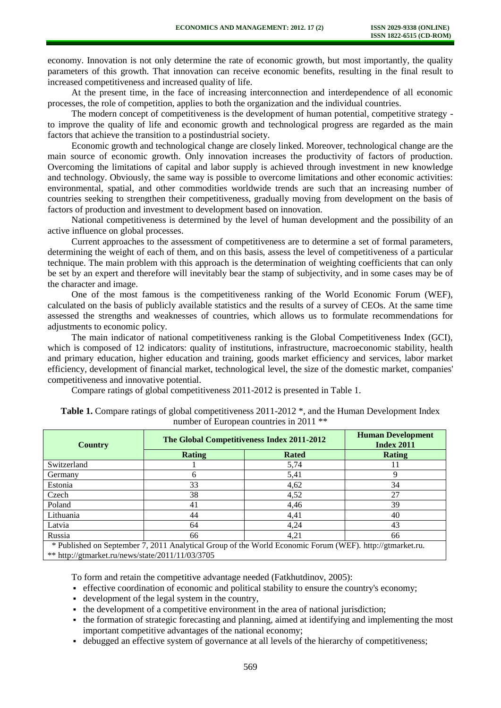economy. Innovation is not only determine the rate of economic growth, but most importantly, the quality parameters of this growth. That innovation can receive economic benefits, resulting in the final result to increased competitiveness and increased quality of life.

At the present time, in the face of increasing interconnection and interdependence of all economic processes, the role of competition, applies to both the organization and the individual countries.

The modern concept of competitiveness is the development of human potential, competitive strategy to improve the quality of life and economic growth and technological progress are regarded as the main factors that achieve the transition to a postindustrial society.

Economic growth and technological change are closely linked. Moreover, technological change are the main source of economic growth. Only innovation increases the productivity of factors of production. Overcoming the limitations of capital and labor supply is achieved through investment in new knowledge and technology. Obviously, the same way is possible to overcome limitations and other economic activities: environmental, spatial, and other commodities worldwide trends are such that an increasing number of countries seeking to strengthen their competitiveness, gradually moving from development on the basis of factors of production and investment to development based on innovation.

National competitiveness is determined by the level of human development and the possibility of an active influence on global processes.

Current approaches to the assessment of competitiveness are to determine a set of formal parameters, determining the weight of each of them, and on this basis, assess the level of competitiveness of a particular technique. The main problem with this approach is the determination of weighting coefficients that can only be set by an expert and therefore will inevitably bear the stamp of subjectivity, and in some cases may be of the character and image.

One of the most famous is the competitiveness ranking of the World Economic Forum (WEF), calculated on the basis of publicly available statistics and the results of a survey of CEOs. At the same time assessed the strengths and weaknesses of countries, which allows us to formulate recommendations for adjustments to economic policy.

The main indicator of national competitiveness ranking is the Global Competitiveness Index (GCI), which is composed of 12 indicators: quality of institutions, infrastructure, macroeconomic stability, health and primary education, higher education and training, goods market efficiency and services, labor market efficiency, development of financial market, technological level, the size of the domestic market, companies' competitiveness and innovative potential.

Compare ratings of global competitiveness 2011-2012 is presented in Table 1.

| <b>Country</b>                                                                                           | The Global Competitiveness Index 2011-2012 |              | <b>Human Development</b><br><b>Index 2011</b> |
|----------------------------------------------------------------------------------------------------------|--------------------------------------------|--------------|-----------------------------------------------|
|                                                                                                          | <b>Rating</b>                              | <b>Rated</b> | <b>Rating</b>                                 |
| Switzerland                                                                                              |                                            | 5,74         |                                               |
| Germany                                                                                                  | h                                          | 5,41         |                                               |
| Estonia                                                                                                  | 33                                         | 4,62         | 34                                            |
| Czech                                                                                                    | 38                                         | 4,52         | 27                                            |
| Poland                                                                                                   | 41                                         | 4.46         | 39                                            |
| Lithuania                                                                                                | 44                                         | 4,41         | 40                                            |
| Latvia                                                                                                   | 64                                         | 4.24         | 43                                            |
| Russia                                                                                                   | 66                                         | 4,21         | 66                                            |
| * Published on September 7, 2011 Analytical Group of the World Economic Forum (WEF). http://gtmarket.ru. |                                            |              |                                               |

| <b>Table 1.</b> Compare ratings of global competitiveness 2011-2012 *, and the Human Development Index |
|--------------------------------------------------------------------------------------------------------|
| number of European countries in 2011 <sup>**</sup>                                                     |

\*\*<http://gtmarket.ru/news/state/2011/11/03/3705>

To form and retain the competitive advantage needed (Fatkhutdinov, 2005):

- effective coordination of economic and political stability to ensure the country's economy;
- development of the legal system in the country,
- the development of a competitive environment in the area of national jurisdiction;
- the formation of strategic forecasting and planning, aimed at identifying and implementing the most important competitive advantages of the national economy;
- debugged an effective system of governance at all levels of the hierarchy of competitiveness;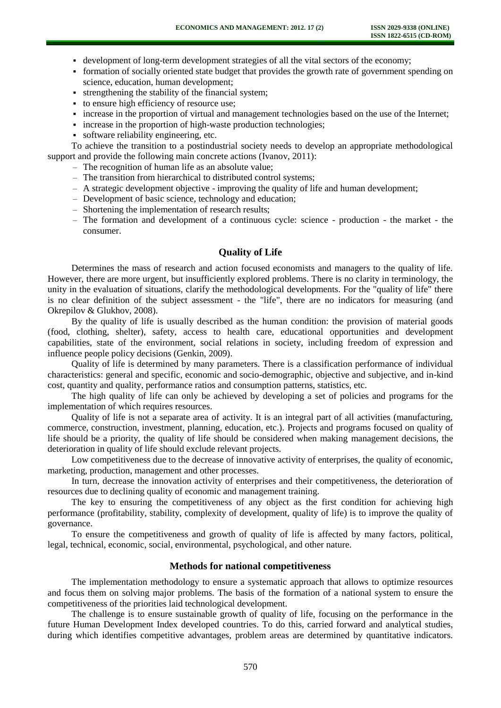- development of long-term development strategies of all the vital sectors of the economy;
- formation of socially oriented state budget that provides the growth rate of government spending on science, education, human development;
- strengthening the stability of the financial system;
- to ensure high efficiency of resource use;
- increase in the proportion of virtual and management technologies based on the use of the Internet;
- increase in the proportion of high-waste production technologies;
- software reliability engineering, etc.

To achieve the transition to a postindustrial society needs to develop an appropriate methodological support and provide the following main concrete actions (Ivanov, 2011):

- The recognition of human life as an absolute value;
- The transition from hierarchical to distributed control systems;
- A strategic development objective improving the quality of life and human development;
- Development of basic science, technology and education;
- Shortening the implementation of research results;
- The formation and development of a continuous cycle: science production the market the consumer.

#### **Quality of Life**

Determines the mass of research and action focused economists and managers to the quality of life. However, there are more urgent, but insufficiently explored problems. There is no clarity in terminology, the unity in the evaluation of situations, clarify the methodological developments. For the "quality of life" there is no clear definition of the subject assessment - the "life", there are no indicators for measuring (and Okrepilov & Glukhov, 2008).

By the quality of life is usually described as the human condition: the provision of material goods (food, clothing, shelter), safety, access to health care, educational opportunities and development capabilities, state of the environment, social relations in society, including freedom of expression and influence people policy decisions (Genkin, 2009).

Quality of life is determined by many parameters. There is a classification performance of individual characteristics: general and specific, economic and socio-demographic, objective and subjective, and in-kind cost, quantity and quality, performance ratios and consumption patterns, statistics, etc.

The high quality of life can only be achieved by developing a set of policies and programs for the implementation of which requires resources.

Quality of life is not a separate area of activity. It is an integral part of all activities (manufacturing, commerce, construction, investment, planning, education, etc.). Projects and programs focused on quality of life should be a priority, the quality of life should be considered when making management decisions, the deterioration in quality of life should exclude relevant projects.

Low competitiveness due to the decrease of innovative activity of enterprises, the quality of economic, marketing, production, management and other processes.

In turn, decrease the innovation activity of enterprises and their competitiveness, the deterioration of resources due to declining quality of economic and management training.

The key to ensuring the competitiveness of any object as the first condition for achieving high performance (profitability, stability, complexity of development, quality of life) is to improve the quality of governance.

To ensure the competitiveness and growth of quality of life is affected by many factors, political, legal, technical, economic, social, environmental, psychological, and other nature.

### **Methods for national competitiveness**

The implementation methodology to ensure a systematic approach that allows to optimize resources and focus them on solving major problems. The basis of the formation of a national system to ensure the competitiveness of the priorities laid technological development.

The challenge is to ensure sustainable growth of quality of life, focusing on the performance in the future Human Development Index developed countries. To do this, carried forward and analytical studies, during which identifies competitive advantages, problem areas are determined by quantitative indicators.